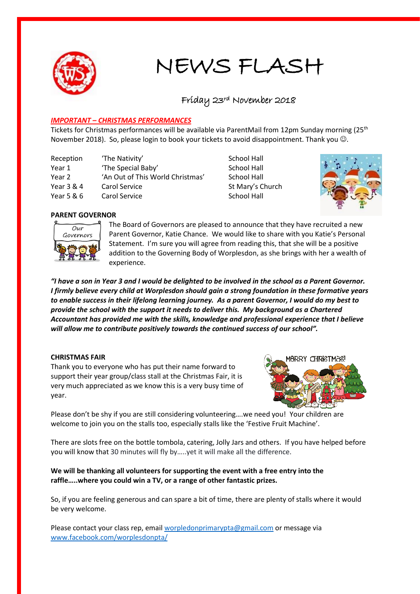

# NEWS FLASH

# Friday 23rd November 2018

# *IMPORTANT – CHRISTMAS PERFORMANCES*

Tickets for Christmas performances will be available via ParentMail from 12pm Sunday morning (25<sup>th</sup>) November 2018). So, please login to book your tickets to avoid disappointment. Thank you  $\odot$ .

| Reception  | 'The Nativity'                   |
|------------|----------------------------------|
| Year 1     | 'The Special Baby'               |
| Year 2     | 'An Out of This World Christmas' |
| Year 3 & 4 | Carol Service                    |
| Year 5 & 6 | Carol Service                    |

**School Hall** School Hall School Hall St Mary's Church School Hall



# **PARENT GOVERNOR**



The Board of Governors are pleased to announce that they have recruited a new Parent Governor, Katie Chance. We would like to share with you Katie's Personal Statement. I'm sure you will agree from reading this, that she will be a positive addition to the Governing Body of Worplesdon, as she brings with her a wealth of experience.

*"I have a son in Year 3 and I would be delighted to be involved in the school as a Parent Governor. I firmly believe every child at Worplesdon should gain a strong foundation in these formative years to enable success in their lifelong learning journey. As a parent Governor, I would do my best to provide the school with the support it needs to deliver this. My background as a Chartered Accountant has provided me with the skills, knowledge and professional experience that I believe will allow me to contribute positively towards the continued success of our school".*

#### **CHRISTMAS FAIR**

Thank you to everyone who has put their name forward to support their year group/class stall at the Christmas Fair, it is very much appreciated as we know this is a very busy time of year.



Please don't be shy if you are still considering volunteering….we need you! Your children are welcome to join you on the stalls too, especially stalls like the 'Festive Fruit Machine'.

There are slots free on the bottle tombola, catering, Jolly Jars and others. If you have helped before you will know that 30 minutes will fly by…..yet it will make all the difference.

# **We will be thanking all volunteers for supporting the event with a free entry into the raffle…..where you could win a TV, or a range of other fantastic prizes.**

So, if you are feeling generous and can spare a bit of time, there are plenty of stalls where it would be very welcome.

Please contact your class rep, email [worpledonprimarypta@gmail.com](mailto:worpledonprimarypta@gmail.com) or message via [www.facebook.com/worplesdonpta/](http://www.facebook.com/worplesdonpta/)